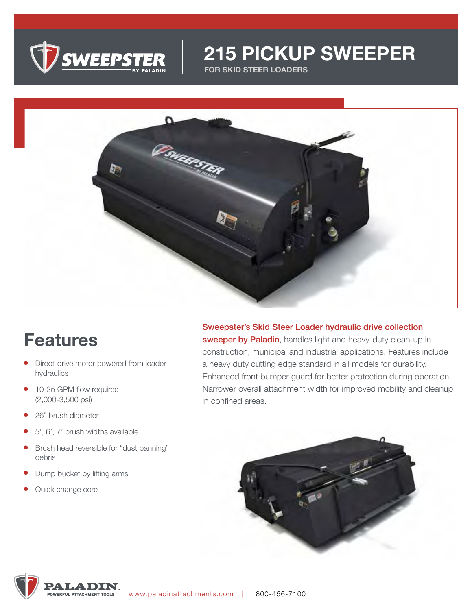

# **215 PICKUP SWEEPER**

**FOR SKID STEER LOADERS**



# **Features**

- Direct-drive motor powered from loader hydraulics
- 10-25 GPM flow required (2,000-3,500 psi)
- 26" brush diameter
- 5', 6', 7' brush widths available
- Brush head reversible for "dust panning" debris
- Dump bucket by lifting arms
- Quick change core

Sweepster's Skid Steer Loader hydraulic drive collection sweeper by Paladin, handles light and heavy-duty clean-up in construction, municipal and industrial applications. Features include a heavy duty cutting edge standard in all models for durability. Enhanced front bumper guard for better protection during operation. Narrower overall attachment width for improved mobility and cleanup in confined areas.